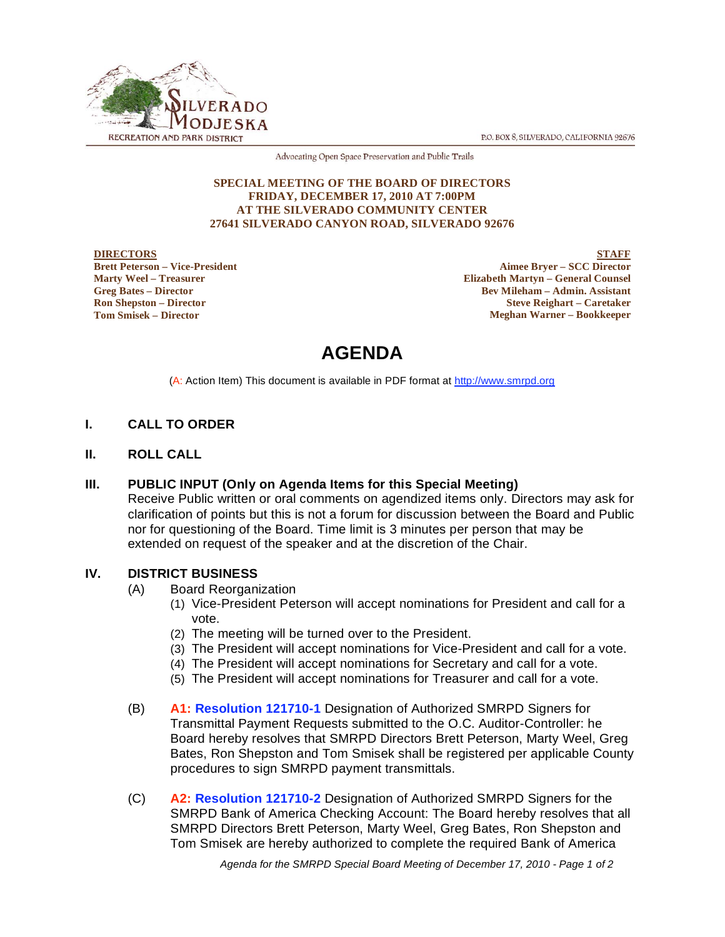P.O. BOX 8, SILVERADO, CALIFORNIA 92676



Advocating Open Space Preservation and Public Trails

#### **SPECIAL MEETING OF THE BOARD OF DIRECTORS FRIDAY, DECEMBER 17, 2010 AT 7:00PM AT THE SILVERADO COMMUNITY CENTER 27641 SILVERADO CANYON ROAD, SILVERADO 92676**

**DIRECTORS Brett Peterson – Vice-President Marty Weel – Treasurer Greg Bates – Director Ron Shepston – Director Tom Smisek – Director**

**STAFF Aimee Bryer – SCC Director Elizabeth Martyn – General Counsel Bev Mileham – Admin. Assistant Steve Reighart – Caretaker Meghan Warner – Bookkeeper**

# **AGENDA**

(A: Action Item) This document is available in PDF format at http://www.smrpd.org

## **I. CALL TO ORDER**

**II. ROLL CALL**

#### **III. PUBLIC INPUT (Only on Agenda Items for this Special Meeting)**

Receive Public written or oral comments on agendized items only. Directors may ask for clarification of points but this is not a forum for discussion between the Board and Public nor for questioning of the Board. Time limit is 3 minutes per person that may be extended on request of the speaker and at the discretion of the Chair.

#### **IV. DISTRICT BUSINESS**

- (A) Board Reorganization
	- (1) Vice-President Peterson will accept nominations for President and call for a vote.
	- (2) The meeting will be turned over to the President.
	- (3) The President will accept nominations for Vice-President and call for a vote.
	- (4) The President will accept nominations for Secretary and call for a vote.
	- (5) The President will accept nominations for Treasurer and call for a vote.
- (B) **A1: Resolution 121710-1** Designation of Authorized SMRPD Signers for Transmittal Payment Requests submitted to the O.C. Auditor-Controller: he Board hereby resolves that SMRPD Directors Brett Peterson, Marty Weel, Greg Bates, Ron Shepston and Tom Smisek shall be registered per applicable County procedures to sign SMRPD payment transmittals.
- (C) **A2: Resolution 121710-2** Designation of Authorized SMRPD Signers for the SMRPD Bank of America Checking Account: The Board hereby resolves that all SMRPD Directors Brett Peterson, Marty Weel, Greg Bates, Ron Shepston and Tom Smisek are hereby authorized to complete the required Bank of America